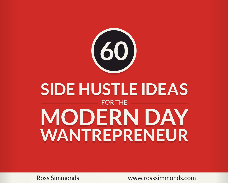

#### **SIDE HUSTLE IDEAS SIDE HUSTLE IDEAS** FOR THE FOR THE **MODERN DAY MODERN DAY WANTREPRENEUR WANTREPRENEUR**

Ross Simmonds www.rosssimmonds.com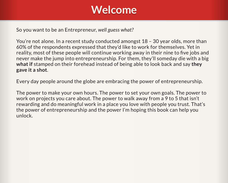#### **Welcome Welcome**

So you want to be an Entrepreneur, *well guess what?*

You're not alone. In a recent study conducted amongst 18 – 30 year olds, more than 60% of the respondents expressed that they'd like to work for themselves. Yet in reality, most of these people will continue working away in their nine to five jobs and never make the jump into entrepreneurship. For them, they'll someday die with a big **what if** stamped on their forehead instead of being able to look back and say **they gave it a shot**.

Every day people around the globe are embracing the power of entrepreneurship.

The power to make your own hours. The power to set your own goals. The power to work on projects you care about. The power to walk away from a 9 to 5 that isn't rewarding and do meaningful work in a place you love with people you trust. That's the power of entrepreneurship and the power I'm hoping this book can help you unlock.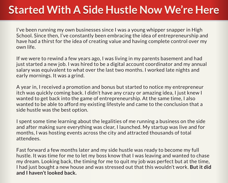#### **Started With A Side Hustle Now We're Here**

I've been running my own businesses since I was a young whipper snapper in High School. Since then, I've constantly been embracing the idea of entrepreneurship and have had a thirst for the idea of creating value and having complete control over my own life.

If we were to rewind a few years ago, I was living in my parents basement and had just started a new job. I was hired to be a digital account coordinator and my annual salary was equivalent to what over the last two months. I worked late nights and early mornings. It was a grind.

A year in, I received a promotion and bonus but started to notice my entrepreneur itch was quickly coming back. I didn't have any crazy or amazing idea, I just knew I wanted to get back into the game of entrepreneurship. At the same time, I also wanted to be able to afford my existing lifestyle and came to the conclusion that a side hustle was the best option.

I spent some time learning about the legalities of me running a business on the side and after making sure everything was clear, I launched. My startup was live and for months, I was hosting events across the city and attracted thousands of total attendees.

Fast forward a few months later and my side hustle was ready to become my full hustle. It was time for me to let my boss know that I was leaving and wanted to chase my dream. Looking back, the timing for me to quit my job was perfect but at the time, I had just bought a new house and was stressed out that this wouldn't work. **But it did and I haven't looked back.**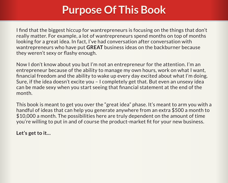#### **Purpose Of This Book Purpose Of This Book**

I find that the biggest hiccup for wantrepreneurs is focusing on the things that don't really matter. For example, a lot of wantrepreneurs spend months on top of months looking for a great idea. In fact, I've had conversation after conversation with wantrepreneurs who have put **GREAT** business ideas on the backburner because they weren't sexy or flashy enough.

Now I don't know about you but I'm not an entrepreneur for the attention. I'm an entrepreneur because of the ability to manage my own hours, work on what I want, financial freedom and the ability to wake up every day excited about what I'm doing. Sure, if the idea doesn't excite you – I completely get that. But even an unsexy idea can be made sexy when you start seeing that financial statement at the end of the month.

This book is meant to get you over the "great idea" phase. It's meant to arm you with a handful of ideas that can help you generate anywhere from an extra \$500 a month to \$10,000 a month. The possibilities here are truly dependent on the amount of time you're willing to put in and of course the product-market fit for your new business.

**Let's get to it…**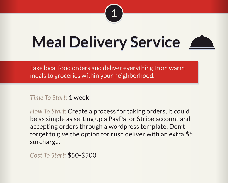

#### **Meal Delivery Service**



Take local food orders and deliver everything from warm meals to groceries within your neighborhood.

*Time To Start:* 1 week

*How To Start:* Create a process for taking orders, it could be as simple as setting up a PayPal or Stripe account and accepting orders through a wordpress template. Don't forget to give the option for rush deliver with an extra \$5 surcharge.

*Cost To Start:* \$50-\$500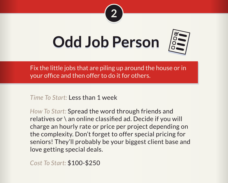

#### **Odd Job Person**



Fix the little jobs that are piling up around the house or in your office and then offer to do it for others.

*Time To Start:* Less than 1 week

*How To Start:* Spread the word through friends and relatives or \ an online classified ad. Decide if you will charge an hourly rate or price per project depending on the complexity. Don't forget to offer special pricing for seniors! They'll probably be your biggest client base and love getting special deals.

*Cost To Start:* \$100-\$250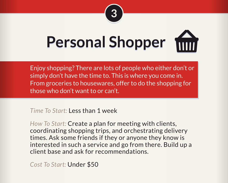

# **Personal Shopper**

Enjoy shopping? There are lots of people who either don't or simply don't have the time to. This is where you come in. From groceries to housewares, offer to do the shopping for those who don't want to or can't.

*Time To Start:* Less than 1 week

*How To Start:* Create a plan for meeting with clients, coordinating shopping trips, and orchestrating delivery times. Ask some friends if they or anyone they know is interested in such a service and go from there. Build up a client base and ask for recommendations.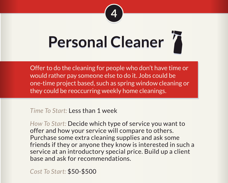

## **Personal Cleaner**

Offer to do the cleaning for people who don't have time or would rather pay someone else to do it. Jobs could be one-time project based, such as spring window cleaning or they could be reoccurring weekly home cleanings.

#### *Time To Start:* Less than 1 week

*How To Start:* Decide which type of service you want to offer and how your service will compare to others. Purchase some extra cleaning supplies and ask some friends if they or anyone they know is interested in such a service at an introductory special price. Build up a client base and ask for recommendations.

*Cost To Start:* \$50-\$500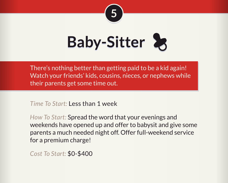

## **Baby-Sitter**

There's nothing better than getting paid to be a kid again! Watch your friends' kids, cousins, nieces, or nephews while their parents get some time out.

*Time To Start:* Less than 1 week

*How To Start:* Spread the word that your evenings and weekends have opened up and offer to babysit and give some parents a much needed night off. Offer full-weekend service for a premium charge!

*Cost To Start:* \$0-\$400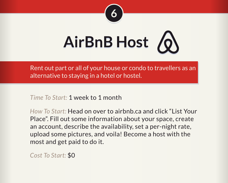



Rent out part or all of your house or condo to travellers as an alternative to staying in a hotel or hostel.

*Time To Start:* 1 week to 1 month

*How To Start:* Head on over to airbnb.ca and click "List Your Place". Fill out some information about your space, create an account, describe the availability, set a per-night rate, upload some pictures, and voila! Become a host with the most and get paid to do it.

*Cost To Start:* \$0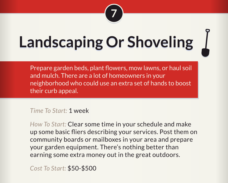

## **Landscaping Or Shoveling**

Prepare garden beds, plant flowers, mow lawns, or haul soil and mulch. There are a lot of homeowners in your neighborhood who could use an extra set of hands to boost their curb appeal.

*Time To Start:* 1 week

*How To Start:* Clear some time in your schedule and make up some basic fliers describing your services. Post them on community boards or mailboxes in your area and prepare your garden equipment. There's nothing better than earning some extra money out in the great outdoors.

*Cost To Start:* \$50-\$500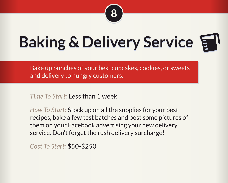

#### **Baking & Delivery Service**

Bake up bunches of your best cupcakes, cookies, or sweets and delivery to hungry customers.

*Time To Start:* Less than 1 week

*How To Start:* Stock up on all the supplies for your best recipes, bake a few test batches and post some pictures of them on your Facebook advertising your new delivery service. Don't forget the rush delivery surcharge!

*Cost To Start:* \$50-\$250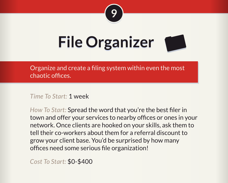

#### **File Organizer**

Organize and create a filing system within even the most chaotic offices.

*Time To Start:* 1 week

*How To Start:* Spread the word that you're the best filer in town and offer your services to nearby offices or ones in your network. Once clients are hooked on your skills, ask them to tell their co-workers about them for a referral discount to grow your client base. You'd be surprised by how many offices need some serious file organization!

*Cost To Start:* \$0-\$400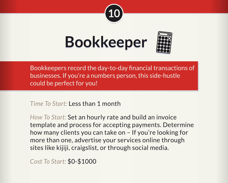

#### **Bookkeeper**



Bookkeepers record the day-to-day financial transactions of businesses. If you're a numbers person, this side-hustle could be perfect for you!

*Time To Start:* Less than 1 month

*How To Start:* Set an hourly rate and build an invoice template and process for accepting payments. Determine how many clients you can take on – If you're looking for more than one, advertise your services online through sites like kijiji, craigslist, or through social media.

*Cost To Start:* \$0-\$1000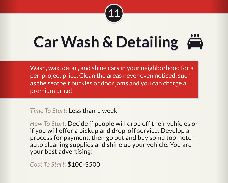

#### **Car Wash & Detailing**

Wash, wax, detail, and shine cars in your neighborhood for a per-project price. Clean the areas never even noticed, such as the seatbelt buckles or door jams and you can charge a premium price!

*Time To Start:* Less than 1 week

*How To Start:* Decide if people will drop off their vehicles or if you will offer a pickup and drop-off service. Develop a process for payment, then go out and buy some top-notch auto cleaning supplies and shine up your vehicle. You are your best advertising!

*Cost To Start:* \$100-\$500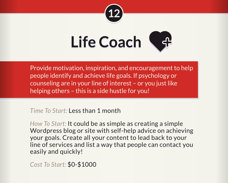



Provide motivation, inspiration, and encouragement to help people identify and achieve life goals. If psychology or counseling are in your line of interest – or you just like helping others – this is a side hustle for you!

*Time To Start:* Less than 1 month

*How To Start:* It could be as simple as creating a simple Wordpress blog or site with self-help advice on achieving your goals. Create all your content to lead back to your line of services and list a way that people can contact you easily and quickly!

*Cost To Start:* \$0-\$1000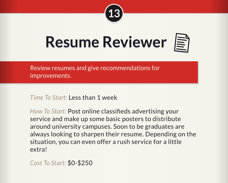

#### **Resume Reviewer**



Review resumes and give recommendations for improvements.

*Time To Start:* Less than 1 week

*How To Start:* Post online classifieds advertising your service and make up some basic posters to distribute around university campuses. Soon to be graduates are always looking to sharpen their resume. Depending on the situation, you can even offer a rush service for a little extra!

*Cost To Start:* \$0-\$250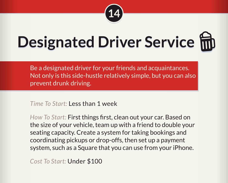

## **Designated Driver Service**

Be a designated driver for your friends and acquaintances. Not only is this side-hustle relatively simple, but you can also prevent drunk driving.

*Time To Start:* Less than 1 week

*How To Start:* First things first, clean out your car. Based on the size of your vehicle, team up with a friend to double your seating capacity. Create a system for taking bookings and coordinating pickups or drop-offs, then set up a payment system, such as a Square that you can use from your iPhone.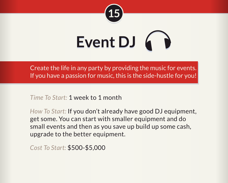

# **Event DJ**

Create the life in any party by providing the music for events. If you have a passion for music, this is the side-hustle for you!

*Time To Start:* 1 week to 1 month

*How To Start:* If you don't already have good DJ equipment, get some. You can start with smaller equipment and do small events and then as you save up build up some cash, upgrade to the better equipment.

*Cost To Start:* \$500-\$5,000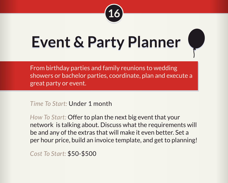

#### **Event & Party Planner**



From birthday parties and family reunions to wedding showers or bachelor parties, coordinate, plan and execute a great party or event.

*Time To Start:* Under 1 month

*How To Start:* Offer to plan the next big event that your network is talking about. Discuss what the requirements will be and any of the extras that will make it even better. Set a per hour price, build an invoice template, and get to planning!

*Cost To Start:* \$50-\$500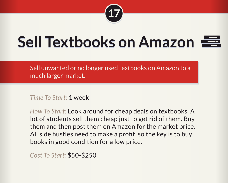

#### **Sell Textbooks on Amazon**

Sell unwanted or no longer used textbooks on Amazon to a much larger market.

*Time To Start:* 1 week

*How To Start:* Look around for cheap deals on textbooks. A lot of students sell them cheap just to get rid of them. Buy them and then post them on Amazon for the market price. All side hustles need to make a profit, so the key is to buy books in good condition for a low price.

*Cost To Start:* \$50-\$250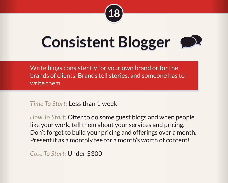

#### **Consistent Blogger**

Write blogs consistently for your own brand or for the brands of clients. Brands tell stories, and someone has to write them.

*Time To Start:* Less than 1 week

*How To Start:* Offer to do some guest blogs and when people like your work, tell them about your services and pricing. Don't forget to build your pricing and offerings over a month. Present it as a monthly fee for a month's worth of content!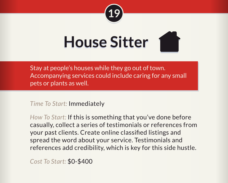

#### **House SItter House Sitter**



*Time To Start:* Immediately

*How To Start:* If this is something that you've done before casually, collect a series of testimonials or references from your past clients. Create online classified listings and spread the word about your service. Testimonials and references add credibility, which is key for this side hustle.

*Cost To Start:* \$0-\$400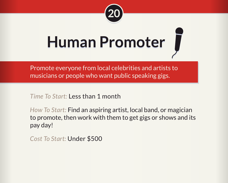

#### **Human Promoter**

Promote everyone from local celebrities and artists to musicians or people who want public speaking gigs.

*Time To Start:* Less than 1 month

*How To Start:* Find an aspiring artist, local band, or magician to promote, then work with them to get gigs or shows and its pay day!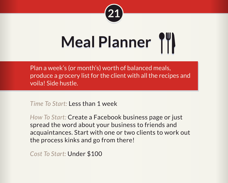

## **Meal Planner**

Plan a week's (or month's) worth of balanced meals, produce a grocery list for the client with all the recipes and voila! Side hustle.

*Time To Start:* Less than 1 week

*How To Start:* Create a Facebook business page or just spread the word about your business to friends and acquaintances. Start with one or two clients to work out the process kinks and go from there!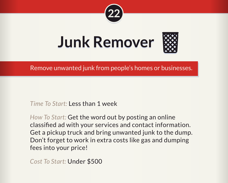



Remove unwanted junk from people's homes or businesses.

*Time To Start:* Less than 1 week

*How To Start:* Get the word out by posting an online classified ad with your services and contact information. Get a pickup truck and bring unwanted junk to the dump. Don't forget to work in extra costs like gas and dumping fees into your price!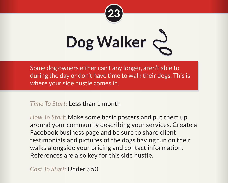

# Dog Walker

Some dog owners either can't any longer, aren't able to during the day or don't have time to walk their dogs. This is where your side hustle comes in.

*Time To Start:* Less than 1 month

*How To Start:* Make some basic posters and put them up around your community describing your services. Create a Facebook business page and be sure to share client testimonials and pictures of the dogs having fun on their walks alongside your pricing and contact information. References are also key for this side hustle.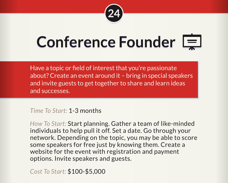

#### **Conference Founder**

Have a topic or field of interest that you're passionate about? Create an event around it – bring in special speakers and invite guests to get together to share and learn ideas and successes.

#### *Time To Start:* 1-3 months

*How To Start:* Start planning. Gather a team of like-minded individuals to help pull it off. Set a date. Go through your network. Depending on the topic, you may be able to score some speakers for free just by knowing them. Create a website for the event with registration and payment options. Invite speakers and guests.

*Cost To Start:* \$100-\$5,000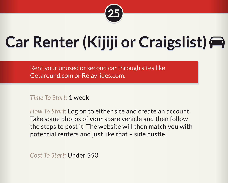

#### **Car Renter (Kijiji or Craigslist) Car Renter (Kijiji or Craigslist)**

Rent your unused or second car through sites like Getaround.com or Relayrides.com.

*Time To Start:* 1 week

*How To Start:* Log on to either site and create an account. Take some photos of your spare vehicle and then follow the steps to post it. The website will then match you with potential renters and just like that – side hustle.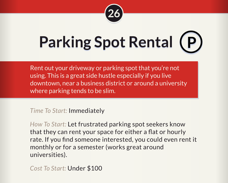

# **Parking Spot Rental**

Rent out your driveway or parking spot that you're not using. This is a great side hustle especially if you live downtown, near a business district or around a university where parking tends to be slim.

*Time To Start:* Immediately

*How To Start:* Let frustrated parking spot seekers know that they can rent your space for either a flat or hourly rate. If you find someone interested, you could even rent it monthly or for a semester (works great around universities).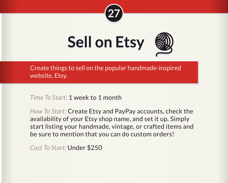



Create things to sell on the popular handmade-inspired website, Etsy.

*Time To Start:* 1 week to 1 month

*How To Start:* Create Etsy and PayPay accounts, check the availability of your Etsy shop name, and set it up. Simply start listing your handmade, vintage, or crafted items and be sure to mention that you can do custom orders!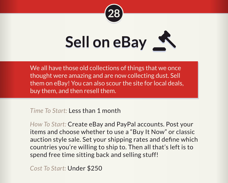



We all have those old collections of things that we once thought were amazing and are now collecting dust. Sell them on eBay! You can also scour the site for local deals, buy them, and then resell them.

*Time To Start:* Less than 1 month

*How To Start:* Create eBay and PayPal accounts. Post your items and choose whether to use a "Buy It Now" or classic auction style sale. Set your shipping rates and define which countries you're willing to ship to. Then all that's left is to spend free time sitting back and selling stuff!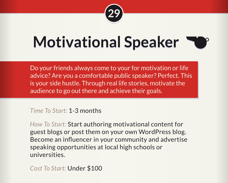

#### **Motivational Speaker**

Do your friends always come to your for motivation or life advice? Are you a comfortable public speaker? Perfect. This is your side hustle. Through real life stories, motivate the audience to go out there and achieve their goals.

#### *Time To Start:* 1-3 months

*How To Start:* Start authoring motivational content for guest blogs or post them on your own WordPress blog. Become an influencer in your community and advertise speaking opportunities at local high schools or universities.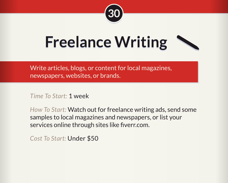

#### **Freelance Writing**



Write articles, blogs, or content for local magazines, newspapers, websites, or brands.

*Time To Start:* 1 week

*How To Start:* Watch out for freelance writing ads, send some samples to local magazines and newspapers, or list your services online through sites like fiverr.com.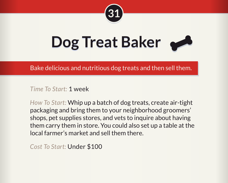

#### **Dog Treat Baker**



Bake delicious and nutritious dog treats and then sell them.

*Time To Start:* 1 week

*How To Start:* Whip up a batch of dog treats, create air-tight packaging and bring them to your neighborhood groomers' shops, pet supplies stores, and vets to inquire about having them carry them in store. You could also set up a table at the local farmer's market and sell them there.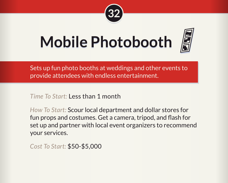

#### **Mobile Photobooth**



Sets up fun photo booths at weddings and other events to provide attendees with endless entertainment.

*Time To Start:* Less than 1 month

*How To Start:* Scour local department and dollar stores for fun props and costumes. Get a camera, tripod, and flash for set up and partner with local event organizers to recommend your services.

*Cost To Start:* \$50-\$5,000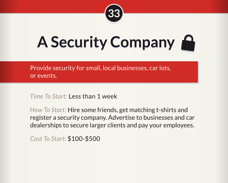

### **A Security Company**

Provide security for small, local businesses, car lots, or events.

*Time To Start:* Less than 1 week

*How To Start:* Hire some friends, get matching t-shirts and register a security company. Advertise to businesses and car dealerships to secure larger clients and pay your employees.

*Cost To Start:* \$100-\$500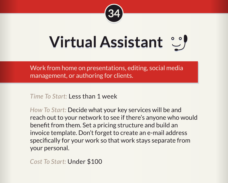

#### **Virtual Assistant**

Work from home on presentations, editing, social media management, or authoring for clients.

*Time To Start:* Less than 1 week

*How To Start:* Decide what your key services will be and reach out to your network to see if there's anyone who would benefit from them. Set a pricing structure and build an invoice template. Don't forget to create an e-mail address specifically for your work so that work stays separate from your personal.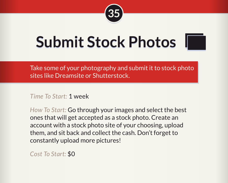

#### **Submit Stock Photos**



*Time To Start:* 1 week

*How To Start:* Go through your images and select the best ones that will get accepted as a stock photo. Create an account with a stock photo site of your choosing, upload them, and sit back and collect the cash. Don't forget to constantly upload more pictures!

*Cost To Start:* \$0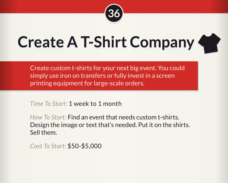

#### **Create A T-Shirt Company**



Create custom t-shirts for your next big event. You could simply use iron on transfers or fully invest in a screen printing equipment for large-scale orders.

*Time To Start:* 1 week to 1 month

*How To Start:* Find an event that needs custom t-shirts. Design the image or text that's needed. Put it on the shirts. Sell them.

*Cost To Start:* \$50-\$5,000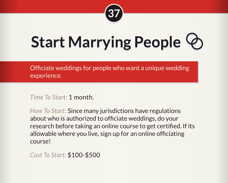

## **Start Marrying People**

Officiate weddings for people who want a unique wedding experience.

*Time To Start:* 1 month.

*How To Start:* Since many jurisdictions have regulations about who is authorized to officiate weddings, do your research before taking an online course to get certified. If its allowable where you live, sign up for an online officiating course!

*Cost To Start:* \$100-\$500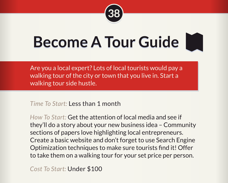

#### **Become A Tour Guide**

Are you a local expert? Lots of local tourists would pay a walking tour of the city or town that you live in. Start a walking tour side hustle.

*Time To Start:* Less than 1 month

*How To Start:* Get the attention of local media and see if they'll do a story about your new business idea – Community sections of papers love highlighting local entrepreneurs. Create a basic website and don't forget to use Search Engine Optimization techniques to make sure tourists find it! Offer to take them on a walking tour for your set price per person.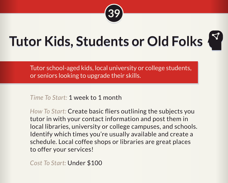

#### **Tutor Kids, Students or Old Folks**

Tutor school-aged kids, local university or college students, or seniors looking to upgrade their skills.

*Time To Start:* 1 week to 1 month

*How To Start:* Create basic fliers outlining the subjects you tutor in with your contact information and post them in local libraries, university or college campuses, and schools. Identify which times you're usually available and create a schedule. Local coffee shops or libraries are great places to offer your services!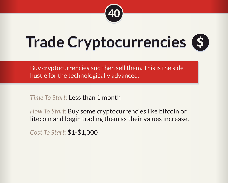

### **Trade Cryptocurrencies \$**

Buy cryptocurrencies and then sell them. This is the side hustle for the technologically advanced.

*Time To Start:* Less than 1 month

*How To Start:* Buy some cryptocurrencies like bitcoin or litecoin and begin trading them as their values increase.

*Cost To Start:* \$1-\$1,000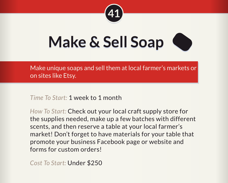

### **Make & Sell Soap**

Make unique soaps and sell them at local farmer's markets or on sites like Etsy.

*Time To Start:* 1 week to 1 month

*How To Start:* Check out your local craft supply store for the supplies needed, make up a few batches with different scents, and then reserve a table at your local farmer's market! Don't forget to have materials for your table that promote your business Facebook page or website and forms for custom orders!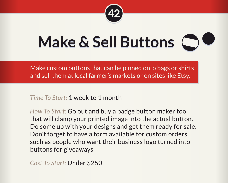

## **Make & Sell Buttons**

Make custom buttons that can be pinned onto bags or shirts and sell them at local farmer's markets or on sites like Etsy.

*Time To Start:* 1 week to 1 month

*How To Start:* Go out and buy a badge button maker tool that will clamp your printed image into the actual button. Do some up with your designs and get them ready for sale. Don't forget to have a form available for custom orders such as people who want their business logo turned into buttons for giveaways.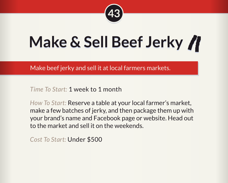

#### **Make & Sell Beef Jerky**

Make beef jerky and sell it at local farmers markets.

*Time To Start:* 1 week to 1 month

*How To Start:* Reserve a table at your local farmer's market, make a few batches of jerky, and then package them up with your brand's name and Facebook page or website. Head out to the market and sell it on the weekends.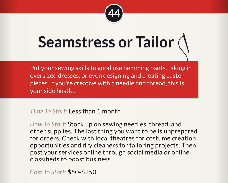

#### **Seamstress or Tailor**

Put your sewing skills to good use hemming pants, taking in oversized dresses, or even designing and creating custom pieces. If you're creative with a needle and thread, this is your side hustle.

*Time To Start:* Less than 1 month

*How To Start:* Stock up on sewing needles, thread, and other supplies. The last thing you want to be is unprepared for orders. Check with local theatres for costume creation opportunities and dry cleaners for tailoring projects. Then post your services online through social media or online classifieds to boost business

*Cost To Start:* \$50-\$250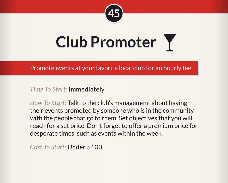

### **Club Promoter**

Promote events at your favorite local club for an hourly fee.

*Time To Start:* Immediately

*How To Start:* Talk to the club's management about having their events promoted by someone who is in the community with the people that go to them. Set objectives that you will reach for a set price. Don't forget to offer a premium price for desperate times, such as events within the week.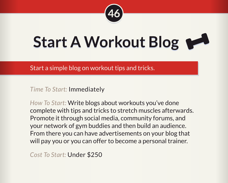

#### Start A Workout Blog

Start a simple blog on workout tips and tricks.

*Time To Start:* Immediately

*How To Start:* Write blogs about workouts you've done complete with tips and tricks to stretch muscles afterwards. Promote it through social media, community forums, and your network of gym buddies and then build an audience. From there you can have advertisements on your blog that will pay you or you can offer to become a personal trainer.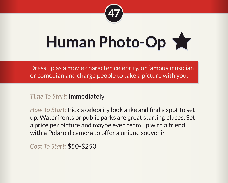

Human Photo-Op

Dress up as a movie character, celebrity, or famous musician or comedian and charge people to take a picture with you.

*Time To Start:* Immediately

*How To Start:* Pick a celebrity look alike and find a spot to set up. Waterfronts or public parks are great starting places. Set a price per picture and maybe even team up with a friend with a Polaroid camera to offer a unique souvenir!

*Cost To Start:* \$50-\$250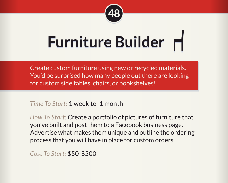

## **Furniture Builder**

Create custom furniture using new or recycled materials. You'd be surprised how many people out there are looking for custom side tables, chairs, or bookshelves!

*Time To Start:* 1 week to 1 month

*How To Start:* Create a portfolio of pictures of furniture that you've built and post them to a Facebook business page. Advertise what makes them unique and outline the ordering process that you will have in place for custom orders.

*Cost To Start:* \$50-\$500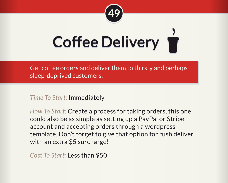

# **Coffee Delivery**

Get coffee orders and deliver them to thirsty and perhaps sleep-deprived customers.

*Time To Start:* Immediately

*How To Start:* Create a process for taking orders, this one could also be as simple as setting up a PayPal or Stripe account and accepting orders through a wordpress template. Don't forget to give that option for rush deliver with an extra \$5 surcharge!

*Cost To Start:* Less than \$50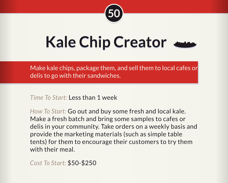

#### **Kale Chip Creator**



Make kale chips, package them, and sell them to local cafes or delis to go with their sandwiches.

*Time To Start:* Less than 1 week

*How To Start:* Go out and buy some fresh and local kale. Make a fresh batch and bring some samples to cafes or delis in your community. Take orders on a weekly basis and provide the marketing materials (such as simple table tents) for them to encourage their customers to try them with their meal.

*Cost To Start:* \$50-\$250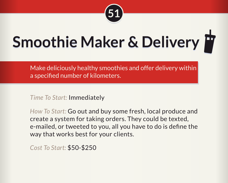

## **Smoothie Maker & Delivery F**

Make deliciously healthy smoothies and offer delivery within a specified number of kilometers.

*Time To Start:* Immediately

*How To Start:* Go out and buy some fresh, local produce and create a system for taking orders. They could be texted, e-mailed, or tweeted to you, all you have to do is define the way that works best for your clients.

*Cost To Start:* \$50-\$250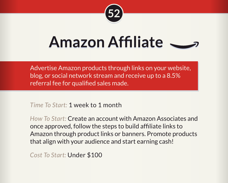

#### **Amazon Affiliate**

Advertise Amazon products through links on your website, blog, or social network stream and receive up to a 8.5% referral fee for qualified sales made.

*Time To Start:* 1 week to 1 month

*How To Start:* Create an account with Amazon Associates and once approved, follow the steps to build affiliate links to Amazon through product links or banners. Promote products that align with your audience and start earning cash!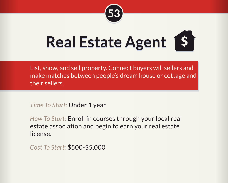

## **Real Estate Agent \$**

List, show, and sell property. Connect buyers will sellers and make matches between people's dream house or cottage and their sellers.

*Time To Start:* Under 1 year

*How To Start:* Enroll in courses through your local real estate association and begin to earn your real estate license.

*Cost To Start:* \$500-\$5,000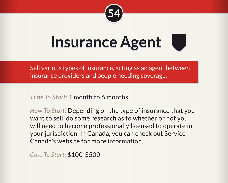

#### **Insurance Agent**

Sell various types of insurance, acting as an agent between insurance providers and people needing coverage.

*Time To Start:* 1 month to 6 months

*How To Start:* Depending on the type of insurance that you want to sell, do some research as to whether or not you will need to become professionally licensed to operate in your jurisdiction. In Canada, you can check out Service Canada's website for more information.

*Cost To Start:* \$100-\$500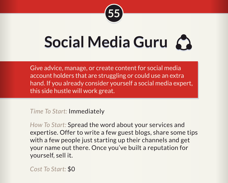

#### **Social Media Guru**

Give advice, manage, or create content for social media account holders that are struggling or could use an extra hand. If you already consider yourself a social media expert, this side hustle will work great.

*Time To Start:* Immediately

*How To Start:* Spread the word about your services and expertise. Offer to write a few guest blogs, share some tips with a few people just starting up their channels and get your name out there. Once you've built a reputation for yourself, sell it.

*Cost To Start:* \$0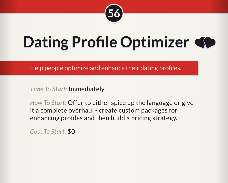

#### **Dating Profile Optimizer**

Help people optimize and enhance their dating profiles.

*Time To Start:* Immediately

*How To Start:* Offer to either spice up the language or give it a complete overhaul - create custom packages for enhancing profiles and then build a pricing strategy.

*Cost To Start:* \$0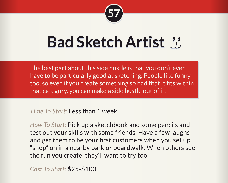

#### **Bad Sketch Artist**

The best part about this side hustle is that you don't even have to be particularly good at sketching. People like funny too, so even if you create something so bad that it fits within that category, you can make a side hustle out of it.

*Time To Start:* Less than 1 week

*How To Start:* Pick up a sketchbook and some pencils and test out your skills with some friends. Have a few laughs and get them to be your first customers when you set up "shop" on in a nearby park or boardwalk. When others see the fun you create, they'll want to try too.

*Cost To Start:* \$25-\$100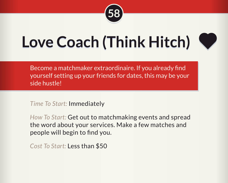

#### **Love Coach (Think Hitch)**



Become a matchmaker extraordinaire. If you already find yourself setting up your friends for dates, this may be your side hustle!

*Time To Start:* Immediately

*How To Start:* Get out to matchmaking events and spread the word about your services. Make a few matches and people will begin to find you.

*Cost To Start:* Less than \$50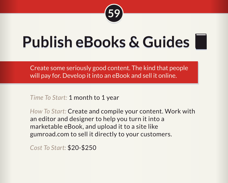

#### **Publish eBooks & Guides**

Create some seriously good content. The kind that people will pay for. Develop it into an eBook and sell it online.

*Time To Start:* 1 month to 1 year

*How To Start:* Create and compile your content. Work with an editor and designer to help you turn it into a marketable eBook, and upload it to a site like gumroad.com to sell it directly to your customers.

*Cost To Start:* \$20-\$250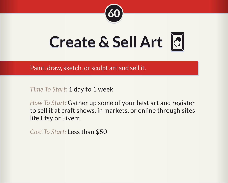

**Create & Sell Art**

Paint, draw, sketch, or sculpt art and sell it.

*Time To Start:* 1 day to 1 week

*How To Start:* Gather up some of your best art and register to sell it at craft shows, in markets, or online through sites life Etsy or Fiverr.

*Cost To Start:* Less than \$50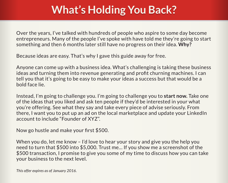#### **What's Holding You Back? What's Holding You Back?**

Over the years, I've talked with hundreds of people who aspire to some day become entrepreneurs. Many of the people I've spoke with have told me they're going to start something and then 6 months later still have no progress on their idea. **Why?**

Because ideas are easy. That's why I gave this guide away for free.

Anyone can come up with a business idea. What's challenging is taking these business ideas and turning them into revenue generating and profit churning machines. I can tell you that it's going to be easy to make your ideas a success but that would be a bold face lie.

Instead, I'm going to challenge you. I'm going to challenge you to **start now.** Take one of the ideas that you liked and ask ten people if they'd be interested in your what you're offering. See what they say and take every piece of advise seriously. From there, I want you to put up an ad on the local marketplace and update your LinkedIn account to include "Founder of XYZ".

Now go hustle and make your first \$500.

When you do, let me know – I'd love to hear your story and give you the help you need to turn that \$500 into \$5,000. Trust me… If you show me a screenshot of the \$500 transaction, I promise to give you some of my time to discuss how you can take your business to the next level.

*This offer expires as of January 2016.*